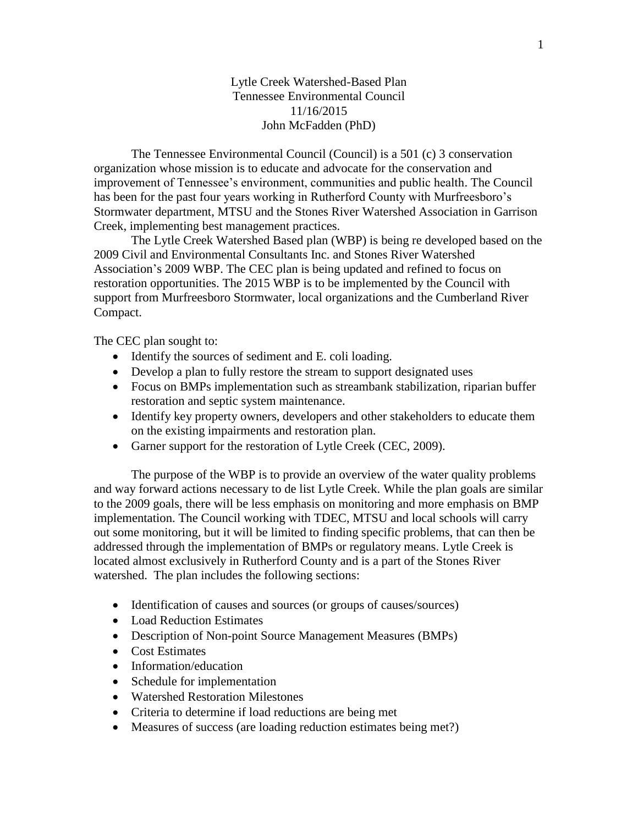Lytle Creek Watershed-Based Plan Tennessee Environmental Council 11/16/2015 John McFadden (PhD)

The Tennessee Environmental Council (Council) is a 501 (c) 3 conservation organization whose mission is to educate and advocate for the conservation and improvement of Tennessee's environment, communities and public health. The Council has been for the past four years working in Rutherford County with Murfreesboro's Stormwater department, MTSU and the Stones River Watershed Association in Garrison Creek, implementing best management practices.

The Lytle Creek Watershed Based plan (WBP) is being re developed based on the 2009 Civil and Environmental Consultants Inc. and Stones River Watershed Association's 2009 WBP. The CEC plan is being updated and refined to focus on restoration opportunities. The 2015 WBP is to be implemented by the Council with support from Murfreesboro Stormwater, local organizations and the Cumberland River Compact.

The CEC plan sought to:

- Identify the sources of sediment and E. coli loading.
- Develop a plan to fully restore the stream to support designated uses
- Focus on BMPs implementation such as streambank stabilization, riparian buffer restoration and septic system maintenance.
- Identify key property owners, developers and other stakeholders to educate them on the existing impairments and restoration plan.
- Garner support for the restoration of Lytle Creek (CEC, 2009).

The purpose of the WBP is to provide an overview of the water quality problems and way forward actions necessary to de list Lytle Creek. While the plan goals are similar to the 2009 goals, there will be less emphasis on monitoring and more emphasis on BMP implementation. The Council working with TDEC, MTSU and local schools will carry out some monitoring, but it will be limited to finding specific problems, that can then be addressed through the implementation of BMPs or regulatory means. Lytle Creek is located almost exclusively in Rutherford County and is a part of the Stones River watershed. The plan includes the following sections:

- Identification of causes and sources (or groups of causes/sources)
- Load Reduction Estimates
- Description of Non-point Source Management Measures (BMPs)
- Cost Estimates
- Information/education
- Schedule for implementation
- Watershed Restoration Milestones
- Criteria to determine if load reductions are being met
- Measures of success (are loading reduction estimates being met?)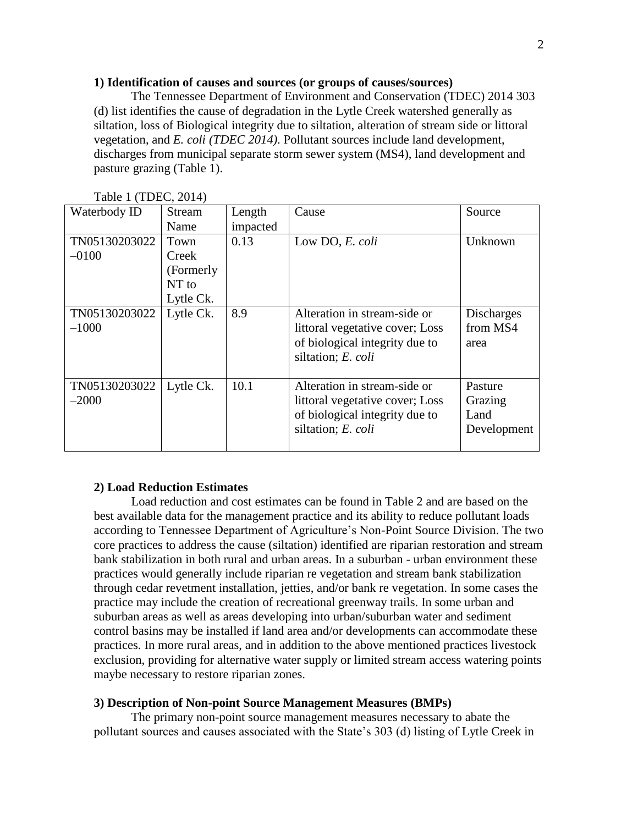## **1) Identification of causes and sources (or groups of causes/sources)**

The Tennessee Department of Environment and Conservation (TDEC) 2014 303 (d) list identifies the cause of degradation in the Lytle Creek watershed generally as siltation, loss of Biological integrity due to siltation, alteration of stream side or littoral vegetation, and *E. coli (TDEC 2014)*. Pollutant sources include land development, discharges from municipal separate storm sewer system (MS4), land development and pasture grazing (Table 1).

| Waterbody ID             | <b>Stream</b>                                     | Length   | Cause                                                                                                                   | Source                                    |
|--------------------------|---------------------------------------------------|----------|-------------------------------------------------------------------------------------------------------------------------|-------------------------------------------|
|                          | Name                                              | impacted |                                                                                                                         |                                           |
| TN05130203022<br>$-0100$ | Town<br>Creek<br>(Formerly)<br>NT to<br>Lytle Ck. | 0.13     | Low DO, E. coli                                                                                                         | Unknown                                   |
| TN05130203022<br>$-1000$ | Lytle Ck.                                         | 8.9      | Alteration in stream-side or<br>littoral vegetative cover; Loss<br>of biological integrity due to<br>siltation; E. coli | <b>Discharges</b><br>from MS4<br>area     |
| TN05130203022<br>$-2000$ | Lytle Ck.                                         | 10.1     | Alteration in stream-side or<br>littoral vegetative cover; Loss<br>of biological integrity due to<br>siltation; E. coli | Pasture<br>Grazing<br>Land<br>Development |

 $Table 1 (TDEC, 2014)$ 

## **2) Load Reduction Estimates**

Load reduction and cost estimates can be found in Table 2 and are based on the best available data for the management practice and its ability to reduce pollutant loads according to Tennessee Department of Agriculture's Non-Point Source Division. The two core practices to address the cause (siltation) identified are riparian restoration and stream bank stabilization in both rural and urban areas. In a suburban - urban environment these practices would generally include riparian re vegetation and stream bank stabilization through cedar revetment installation, jetties, and/or bank re vegetation. In some cases the practice may include the creation of recreational greenway trails. In some urban and suburban areas as well as areas developing into urban/suburban water and sediment control basins may be installed if land area and/or developments can accommodate these practices. In more rural areas, and in addition to the above mentioned practices livestock exclusion, providing for alternative water supply or limited stream access watering points maybe necessary to restore riparian zones.

#### **3) Description of Non-point Source Management Measures (BMPs)**

The primary non-point source management measures necessary to abate the pollutant sources and causes associated with the State's 303 (d) listing of Lytle Creek in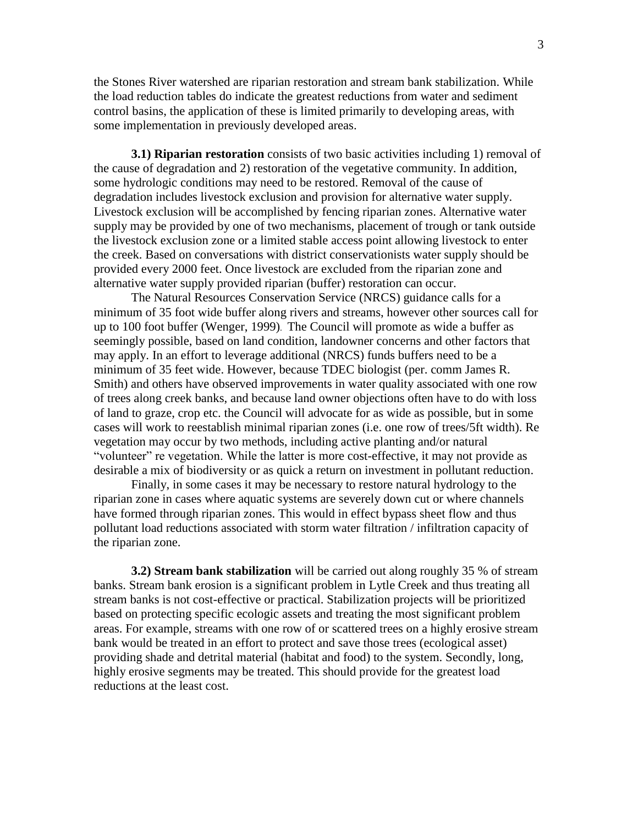the Stones River watershed are riparian restoration and stream bank stabilization. While the load reduction tables do indicate the greatest reductions from water and sediment control basins, the application of these is limited primarily to developing areas, with some implementation in previously developed areas.

**3.1) Riparian restoration** consists of two basic activities including 1) removal of the cause of degradation and 2) restoration of the vegetative community. In addition, some hydrologic conditions may need to be restored. Removal of the cause of degradation includes livestock exclusion and provision for alternative water supply. Livestock exclusion will be accomplished by fencing riparian zones. Alternative water supply may be provided by one of two mechanisms, placement of trough or tank outside the livestock exclusion zone or a limited stable access point allowing livestock to enter the creek. Based on conversations with district conservationists water supply should be provided every 2000 feet. Once livestock are excluded from the riparian zone and alternative water supply provided riparian (buffer) restoration can occur.

The Natural Resources Conservation Service (NRCS) guidance calls for a minimum of 35 foot wide buffer along rivers and streams, however other sources call for up to 100 foot buffer (Wenger, 1999). The Council will promote as wide a buffer as seemingly possible, based on land condition, landowner concerns and other factors that may apply. In an effort to leverage additional (NRCS) funds buffers need to be a minimum of 35 feet wide. However, because TDEC biologist (per. comm James R. Smith) and others have observed improvements in water quality associated with one row of trees along creek banks, and because land owner objections often have to do with loss of land to graze, crop etc. the Council will advocate for as wide as possible, but in some cases will work to reestablish minimal riparian zones (i.e. one row of trees/5ft width). Re vegetation may occur by two methods, including active planting and/or natural "volunteer" re vegetation. While the latter is more cost-effective, it may not provide as desirable a mix of biodiversity or as quick a return on investment in pollutant reduction.

Finally, in some cases it may be necessary to restore natural hydrology to the riparian zone in cases where aquatic systems are severely down cut or where channels have formed through riparian zones. This would in effect bypass sheet flow and thus pollutant load reductions associated with storm water filtration / infiltration capacity of the riparian zone.

**3.2) Stream bank stabilization** will be carried out along roughly 35 % of stream banks. Stream bank erosion is a significant problem in Lytle Creek and thus treating all stream banks is not cost-effective or practical. Stabilization projects will be prioritized based on protecting specific ecologic assets and treating the most significant problem areas. For example, streams with one row of or scattered trees on a highly erosive stream bank would be treated in an effort to protect and save those trees (ecological asset) providing shade and detrital material (habitat and food) to the system. Secondly, long, highly erosive segments may be treated. This should provide for the greatest load reductions at the least cost.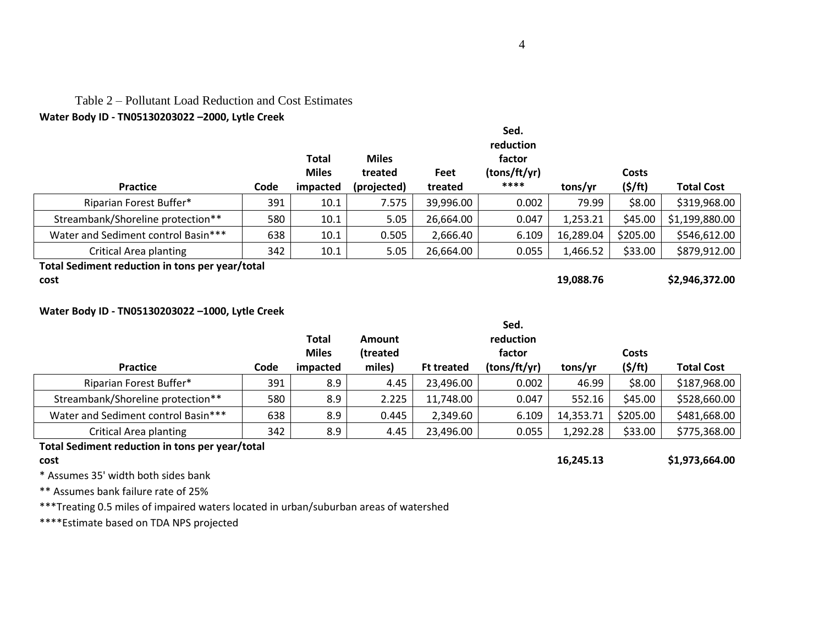# Table 2 – Pollutant Load Reduction and Cost Estimates

## **Water Body ID - TN05130203022 –2000, Lytle Creek**

|                                                         |      | <b>Total</b><br><b>Miles</b> | <b>Miles</b><br>treated | Feet      | Sed.<br>reduction<br>factor<br>(tons/ft/yr) |           | <b>Costs</b> |                   |
|---------------------------------------------------------|------|------------------------------|-------------------------|-----------|---------------------------------------------|-----------|--------------|-------------------|
| <b>Practice</b>                                         | Code | impacted                     | (projected)             | treated   | ****                                        | tons/yr   | (5/ft)       | <b>Total Cost</b> |
| Riparian Forest Buffer*                                 | 391  | 10.1                         | 7.575                   | 39,996.00 | 0.002                                       | 79.99     | \$8.00       | \$319,968.00      |
| Streambank/Shoreline protection**                       | 580  | 10.1                         | 5.05                    | 26,664.00 | 0.047                                       | 1,253.21  | \$45.00      | \$1,199,880.00    |
| Water and Sediment control Basin***                     | 638  | 10.1                         | 0.505                   | 2,666.40  | 6.109                                       | 16,289.04 | \$205.00     | \$546,612.00      |
| Critical Area planting                                  | 342  | 10.1                         | 5.05                    | 26,664.00 | 0.055                                       | 1,466.52  | \$33.00      | \$879,912.00      |
| Total Sediment reduction in tons per year/total<br>cost |      |                              |                         |           |                                             | 19,088.76 |              | \$2,946,372.00    |
|                                                         |      |                              |                         |           |                                             |           |              |                   |

## **Water Body ID - TN05130203022 –1000, Lytle Creek**

|                                     |            | <b>Total</b><br><b>Miles</b> | <b>Amount</b><br>(treated |                   | Sed.<br>reduction<br>factor |           | Costs         |                   |
|-------------------------------------|------------|------------------------------|---------------------------|-------------------|-----------------------------|-----------|---------------|-------------------|
| <b>Practice</b>                     | Code       | impacted                     | miles)                    | <b>Ft treated</b> | (tons/ft/yr)                | tons/yr   | $($ \$/ft $)$ | <b>Total Cost</b> |
| Riparian Forest Buffer*             | 391        | 8.9                          | 4.45                      | 23,496.00         | 0.002                       | 46.99     | \$8.00        | \$187,968.00      |
| Streambank/Shoreline protection**   | 580        | 8.9                          | 2.225                     | 11,748.00         | 0.047                       | 552.16    | \$45.00       | \$528,660.00      |
| Water and Sediment control Basin*** | 638        | 8.9                          | 0.445                     | 2,349.60          | 6.109                       | 14,353.71 | \$205.00      | \$481,668.00      |
| Critical Area planting              | 342<br>. . | 8.9                          | 4.45                      | 23,496.00         | 0.055                       | 1,292.28  | \$33.00       | \$775,368.00      |

## **Total Sediment reduction in tons per year/total cost 16,245.13 \$1,973,664.00**

\* Assumes 35' width both sides bank

\*\* Assumes bank failure rate of 25%

\*\*\*Treating 0.5 miles of impaired waters located in urban/suburban areas of watershed

\*\*\*\*Estimate based on TDA NPS projected

**Sed.**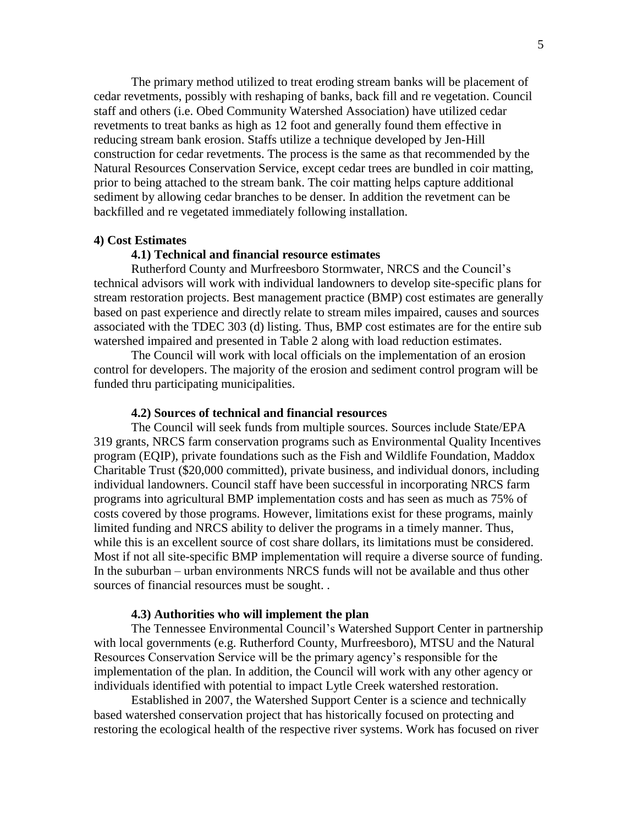The primary method utilized to treat eroding stream banks will be placement of cedar revetments, possibly with reshaping of banks, back fill and re vegetation. Council staff and others (i.e. Obed Community Watershed Association) have utilized cedar revetments to treat banks as high as 12 foot and generally found them effective in reducing stream bank erosion. Staffs utilize a technique developed by Jen-Hill construction for cedar revetments. The process is the same as that recommended by the Natural Resources Conservation Service, except cedar trees are bundled in coir matting, prior to being attached to the stream bank. The coir matting helps capture additional sediment by allowing cedar branches to be denser. In addition the revetment can be backfilled and re vegetated immediately following installation.

#### **4) Cost Estimates**

#### **4.1) Technical and financial resource estimates**

Rutherford County and Murfreesboro Stormwater, NRCS and the Council's technical advisors will work with individual landowners to develop site-specific plans for stream restoration projects. Best management practice (BMP) cost estimates are generally based on past experience and directly relate to stream miles impaired, causes and sources associated with the TDEC 303 (d) listing. Thus, BMP cost estimates are for the entire sub watershed impaired and presented in Table 2 along with load reduction estimates.

The Council will work with local officials on the implementation of an erosion control for developers. The majority of the erosion and sediment control program will be funded thru participating municipalities.

#### **4.2) Sources of technical and financial resources**

The Council will seek funds from multiple sources. Sources include State/EPA 319 grants, NRCS farm conservation programs such as Environmental Quality Incentives program (EQIP), private foundations such as the Fish and Wildlife Foundation, Maddox Charitable Trust (\$20,000 committed), private business, and individual donors, including individual landowners. Council staff have been successful in incorporating NRCS farm programs into agricultural BMP implementation costs and has seen as much as 75% of costs covered by those programs. However, limitations exist for these programs, mainly limited funding and NRCS ability to deliver the programs in a timely manner. Thus, while this is an excellent source of cost share dollars, its limitations must be considered. Most if not all site-specific BMP implementation will require a diverse source of funding. In the suburban – urban environments NRCS funds will not be available and thus other sources of financial resources must be sought. .

#### **4.3) Authorities who will implement the plan**

The Tennessee Environmental Council's Watershed Support Center in partnership with local governments (e.g. Rutherford County, Murfreesboro), MTSU and the Natural Resources Conservation Service will be the primary agency's responsible for the implementation of the plan. In addition, the Council will work with any other agency or individuals identified with potential to impact Lytle Creek watershed restoration.

Established in 2007, the Watershed Support Center is a science and technically based watershed conservation project that has historically focused on protecting and restoring the ecological health of the respective river systems. Work has focused on river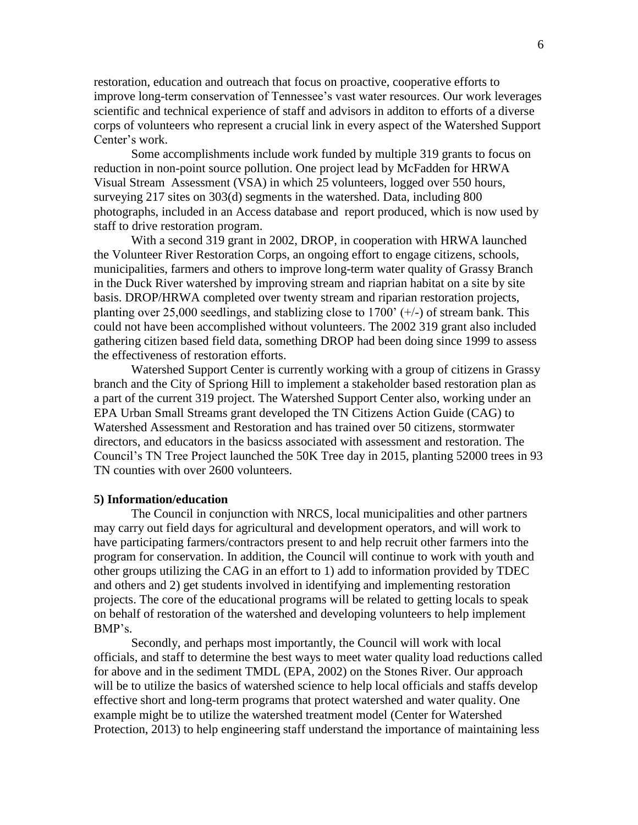restoration, education and outreach that focus on proactive, cooperative efforts to improve long-term conservation of Tennessee's vast water resources. Our work leverages scientific and technical experience of staff and advisors in additon to efforts of a diverse corps of volunteers who represent a crucial link in every aspect of the Watershed Support Center's work.

Some accomplishments include work funded by multiple 319 grants to focus on reduction in non-point source pollution. One project lead by McFadden for HRWA Visual Stream Assessment (VSA) in which 25 volunteers, logged over 550 hours, surveying 217 sites on 303(d) segments in the watershed. Data, including 800 photographs, included in an Access database and report produced, which is now used by staff to drive restoration program.

With a second 319 grant in 2002, DROP, in cooperation with HRWA launched the Volunteer River Restoration Corps, an ongoing effort to engage citizens, schools, municipalities, farmers and others to improve long-term water quality of Grassy Branch in the Duck River watershed by improving stream and riaprian habitat on a site by site basis. DROP/HRWA completed over twenty stream and riparian restoration projects, planting over 25,000 seedlings, and stablizing close to 1700'  $(+/-)$  of stream bank. This could not have been accomplished without volunteers. The 2002 319 grant also included gathering citizen based field data, something DROP had been doing since 1999 to assess the effectiveness of restoration efforts.

Watershed Support Center is currently working with a group of citizens in Grassy branch and the City of Spriong Hill to implement a stakeholder based restoration plan as a part of the current 319 project. The Watershed Support Center also, working under an EPA Urban Small Streams grant developed the TN Citizens Action Guide (CAG) to Watershed Assessment and Restoration and has trained over 50 citizens, stormwater directors, and educators in the basicss associated with assessment and restoration. The Council's TN Tree Project launched the 50K Tree day in 2015, planting 52000 trees in 93 TN counties with over 2600 volunteers.

#### **5) Information/education**

The Council in conjunction with NRCS, local municipalities and other partners may carry out field days for agricultural and development operators, and will work to have participating farmers/contractors present to and help recruit other farmers into the program for conservation. In addition, the Council will continue to work with youth and other groups utilizing the CAG in an effort to 1) add to information provided by TDEC and others and 2) get students involved in identifying and implementing restoration projects. The core of the educational programs will be related to getting locals to speak on behalf of restoration of the watershed and developing volunteers to help implement BMP's.

Secondly, and perhaps most importantly, the Council will work with local officials, and staff to determine the best ways to meet water quality load reductions called for above and in the sediment TMDL (EPA, 2002) on the Stones River. Our approach will be to utilize the basics of watershed science to help local officials and staffs develop effective short and long-term programs that protect watershed and water quality. One example might be to utilize the watershed treatment model (Center for Watershed Protection, 2013) to help engineering staff understand the importance of maintaining less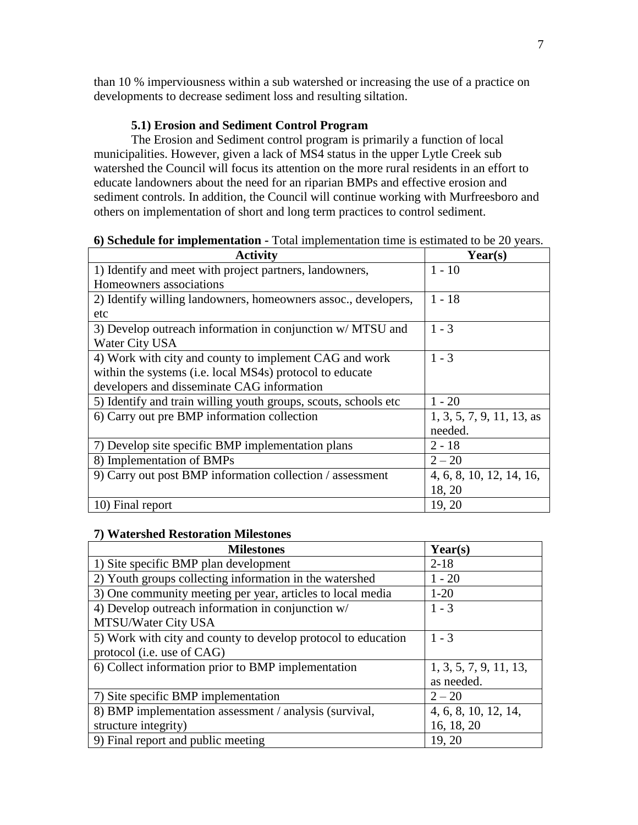than 10 % imperviousness within a sub watershed or increasing the use of a practice on developments to decrease sediment loss and resulting siltation.

## **5.1) Erosion and Sediment Control Program**

The Erosion and Sediment control program is primarily a function of local municipalities. However, given a lack of MS4 status in the upper Lytle Creek sub watershed the Council will focus its attention on the more rural residents in an effort to educate landowners about the need for an riparian BMPs and effective erosion and sediment controls. In addition, the Council will continue working with Murfreesboro and others on implementation of short and long term practices to control sediment.

| <b>Activity</b>                                                 | Year(s)                     |
|-----------------------------------------------------------------|-----------------------------|
| 1) Identify and meet with project partners, landowners,         | $1 - 10$                    |
| Homeowners associations                                         |                             |
| 2) Identify willing landowners, homeowners assoc., developers,  | $1 - 18$                    |
| etc                                                             |                             |
| 3) Develop outreach information in conjunction w/ MTSU and      | $1 - 3$                     |
| Water City USA                                                  |                             |
| 4) Work with city and county to implement CAG and work          | $1 - 3$                     |
| within the systems (i.e. local MS4s) protocol to educate        |                             |
| developers and disseminate CAG information                      |                             |
| 5) Identify and train willing youth groups, scouts, schools etc | $1 - 20$                    |
| 6) Carry out pre BMP information collection                     | $1, 3, 5, 7, 9, 11, 13,$ as |
|                                                                 | needed.                     |
| 7) Develop site specific BMP implementation plans               | $2 - 18$                    |
| 8) Implementation of BMPs                                       | $2 - 20$                    |
| 9) Carry out post BMP information collection / assessment       | 4, 6, 8, 10, 12, 14, 16,    |
|                                                                 | 18, 20                      |
| 10) Final report                                                | 19, 20                      |

## **6) Schedule for implementation -** Total implementation time is estimated to be 20 years.

## **7) Watershed Restoration Milestones**

| <b>Milestones</b>                                             | Year(s)                |
|---------------------------------------------------------------|------------------------|
| 1) Site specific BMP plan development                         | $2 - 18$               |
| 2) Youth groups collecting information in the watershed       | $1 - 20$               |
| 3) One community meeting per year, articles to local media    | $1-20$                 |
| 4) Develop outreach information in conjunction w/             | $1 - 3$                |
| MTSU/Water City USA                                           |                        |
| 5) Work with city and county to develop protocol to education | $1 - 3$                |
| protocol (i.e. use of CAG)                                    |                        |
| 6) Collect information prior to BMP implementation            | 1, 3, 5, 7, 9, 11, 13, |
|                                                               | as needed.             |
| 7) Site specific BMP implementation                           | $2 - 20$               |
| 8) BMP implementation assessment / analysis (survival,        | 4, 6, 8, 10, 12, 14,   |
| structure integrity)                                          | 16, 18, 20             |
| 9) Final report and public meeting                            | 19, 20                 |